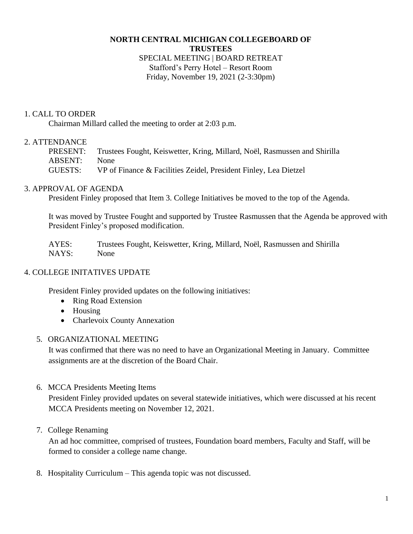### **NORTH CENTRAL MICHIGAN COLLEGEBOARD OF TRUSTEES**

## SPECIAL MEETING | BOARD RETREAT Stafford's Perry Hotel – Resort Room Friday, November 19, 2021 (2-3:30pm)

## 1. CALL TO ORDER

Chairman Millard called the meeting to order at 2:03 p.m.

# 2. ATTENDANCE

PRESENT: Trustees Fought, Keiswetter, Kring, Millard, Noël, Rasmussen and Shirilla ABSENT: None GUESTS: VP of Finance & Facilities Zeidel, President Finley, Lea Dietzel

# 3. APPROVAL OF AGENDA

President Finley proposed that Item 3. College Initiatives be moved to the top of the Agenda.

It was moved by Trustee Fought and supported by Trustee Rasmussen that the Agenda be approved with President Finley's proposed modification.

AYES: Trustees Fought, Keiswetter, Kring, Millard, Noël, Rasmussen and Shirilla NAYS: None

# 4. COLLEGE INITATIVES UPDATE

President Finley provided updates on the following initiatives:

- Ring Road Extension
- Housing
- Charlevoix County Annexation

## 5. ORGANIZATIONAL MEETING

It was confirmed that there was no need to have an Organizational Meeting in January. Committee assignments are at the discretion of the Board Chair.

6. MCCA Presidents Meeting Items

President Finley provided updates on several statewide initiatives, which were discussed at his recent MCCA Presidents meeting on November 12, 2021.

7. College Renaming

An ad hoc committee, comprised of trustees, Foundation board members, Faculty and Staff, will be formed to consider a college name change.

8. Hospitality Curriculum – This agenda topic was not discussed.